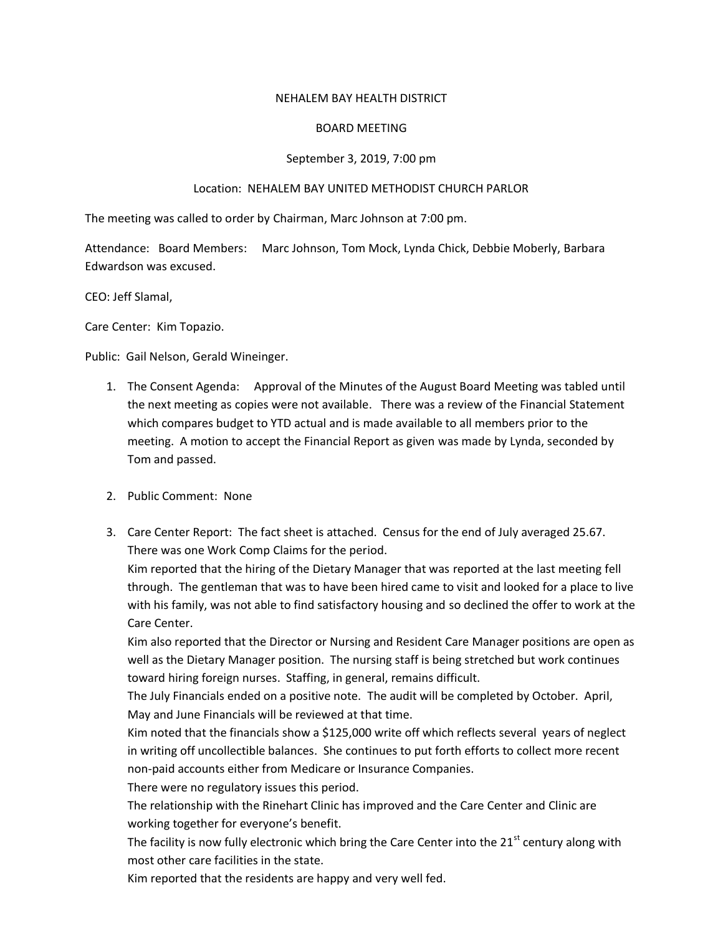## NEHALEM BAY HEALTH DISTRICT

## BOARD MEETING

## September 3, 2019, 7:00 pm

## Location: NEHALEM BAY UNITED METHODIST CHURCH PARLOR

The meeting was called to order by Chairman, Marc Johnson at 7:00 pm.

Attendance: Board Members: Marc Johnson, Tom Mock, Lynda Chick, Debbie Moberly, Barbara Edwardson was excused.

CEO: Jeff Slamal,

Care Center: Kim Topazio.

Public: Gail Nelson, Gerald Wineinger.

- 1. The Consent Agenda: Approval of the Minutes of the August Board Meeting was tabled until the next meeting as copies were not available. There was a review of the Financial Statement which compares budget to YTD actual and is made available to all members prior to the meeting. A motion to accept the Financial Report as given was made by Lynda, seconded by Tom and passed.
- 2. Public Comment: None
- 3. Care Center Report: The fact sheet is attached. Census for the end of July averaged 25.67. There was one Work Comp Claims for the period.

Kim reported that the hiring of the Dietary Manager that was reported at the last meeting fell through. The gentleman that was to have been hired came to visit and looked for a place to live with his family, was not able to find satisfactory housing and so declined the offer to work at the Care Center.

Kim also reported that the Director or Nursing and Resident Care Manager positions are open as well as the Dietary Manager position. The nursing staff is being stretched but work continues toward hiring foreign nurses. Staffing, in general, remains difficult.

The July Financials ended on a positive note. The audit will be completed by October. April, May and June Financials will be reviewed at that time.

Kim noted that the financials show a \$125,000 write off which reflects several years of neglect in writing off uncollectible balances. She continues to put forth efforts to collect more recent non-paid accounts either from Medicare or Insurance Companies.

There were no regulatory issues this period.

The relationship with the Rinehart Clinic has improved and the Care Center and Clinic are working together for everyone's benefit.

The facility is now fully electronic which bring the Care Center into the  $21<sup>st</sup>$  century along with most other care facilities in the state.

Kim reported that the residents are happy and very well fed.